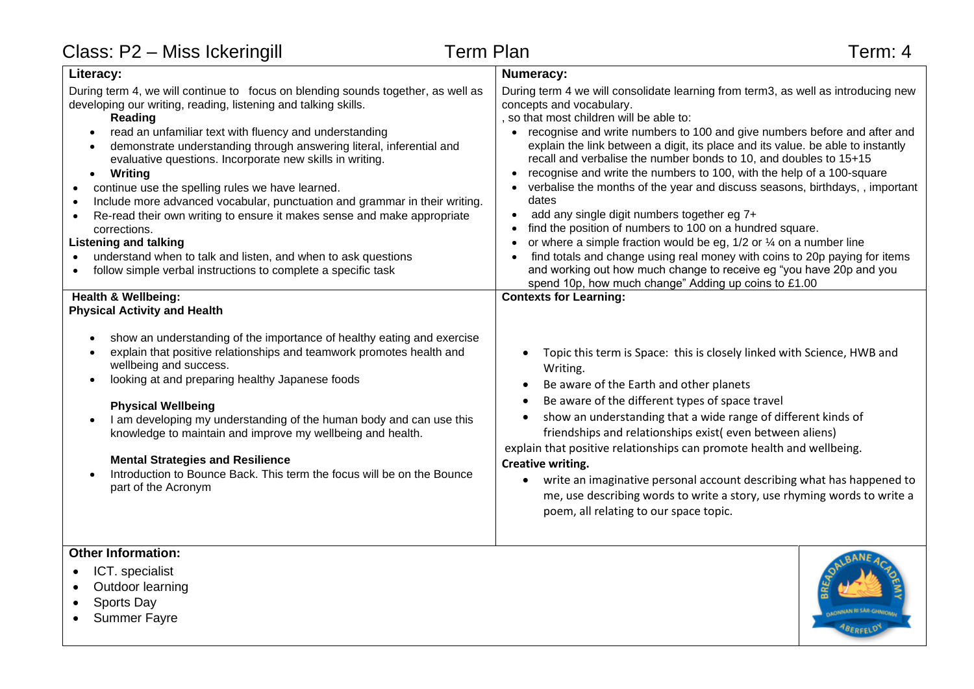| Class: P2 - Miss Ickeringill                                                                                                                                                                                                                                                                                                                                                                                                                                                                                                                                                                                                                                                                                                                                                                                                                                                                                    | <b>Term Plan</b>                                                                                             | Term: 4                                                                                                                                                                                                                                                                                                                                                                                                                                                                                                                                                                                                                                                                                                                                                                                                                                                                                   |
|-----------------------------------------------------------------------------------------------------------------------------------------------------------------------------------------------------------------------------------------------------------------------------------------------------------------------------------------------------------------------------------------------------------------------------------------------------------------------------------------------------------------------------------------------------------------------------------------------------------------------------------------------------------------------------------------------------------------------------------------------------------------------------------------------------------------------------------------------------------------------------------------------------------------|--------------------------------------------------------------------------------------------------------------|-------------------------------------------------------------------------------------------------------------------------------------------------------------------------------------------------------------------------------------------------------------------------------------------------------------------------------------------------------------------------------------------------------------------------------------------------------------------------------------------------------------------------------------------------------------------------------------------------------------------------------------------------------------------------------------------------------------------------------------------------------------------------------------------------------------------------------------------------------------------------------------------|
| Literacy:                                                                                                                                                                                                                                                                                                                                                                                                                                                                                                                                                                                                                                                                                                                                                                                                                                                                                                       | <b>Numeracy:</b>                                                                                             |                                                                                                                                                                                                                                                                                                                                                                                                                                                                                                                                                                                                                                                                                                                                                                                                                                                                                           |
| During term 4, we will continue to focus on blending sounds together, as well as<br>developing our writing, reading, listening and talking skills.<br>Reading<br>read an unfamiliar text with fluency and understanding<br>$\bullet$<br>demonstrate understanding through answering literal, inferential and<br>$\bullet$<br>evaluative questions. Incorporate new skills in writing.<br>Writing<br>$\bullet$<br>continue use the spelling rules we have learned.<br>$\bullet$<br>Include more advanced vocabular, punctuation and grammar in their writing.<br>Re-read their own writing to ensure it makes sense and make appropriate<br>$\bullet$<br>corrections.<br><b>Listening and talking</b><br>understand when to talk and listen, and when to ask questions<br>follow simple verbal instructions to complete a specific task<br><b>Health &amp; Wellbeing:</b><br><b>Physical Activity and Health</b> | concepts and vocabulary.<br>so that most children will be able to:<br>dates<br><b>Contexts for Learning:</b> | During term 4 we will consolidate learning from term3, as well as introducing new<br>recognise and write numbers to 100 and give numbers before and after and<br>explain the link between a digit, its place and its value. be able to instantly<br>recall and verbalise the number bonds to 10, and doubles to 15+15<br>recognise and write the numbers to 100, with the help of a 100-square<br>verbalise the months of the year and discuss seasons, birthdays, , important<br>add any single digit numbers together eg 7+<br>find the position of numbers to 100 on a hundred square.<br>or where a simple fraction would be eg, $1/2$ or $\frac{1}{4}$ on a number line<br>find totals and change using real money with coins to 20p paying for items<br>and working out how much change to receive eg "you have 20p and you<br>spend 10p, how much change" Adding up coins to £1.00 |
| show an understanding of the importance of healthy eating and exercise<br>explain that positive relationships and teamwork promotes health and<br>wellbeing and success.<br>looking at and preparing healthy Japanese foods<br>$\bullet$<br><b>Physical Wellbeing</b><br>I am developing my understanding of the human body and can use this<br>knowledge to maintain and improve my wellbeing and health.<br><b>Mental Strategies and Resilience</b><br>Introduction to Bounce Back. This term the focus will be on the Bounce<br>part of the Acronym                                                                                                                                                                                                                                                                                                                                                          | $\bullet$<br>Writing.<br>$\bullet$<br>Creative writing.<br>$\bullet$                                         | Topic this term is Space: this is closely linked with Science, HWB and<br>Be aware of the Earth and other planets<br>Be aware of the different types of space travel<br>show an understanding that a wide range of different kinds of<br>friendships and relationships exist(even between aliens)<br>explain that positive relationships can promote health and wellbeing.<br>write an imaginative personal account describing what has happened to<br>me, use describing words to write a story, use rhyming words to write a<br>poem, all relating to our space topic.                                                                                                                                                                                                                                                                                                                  |
| <b>Other Information:</b>                                                                                                                                                                                                                                                                                                                                                                                                                                                                                                                                                                                                                                                                                                                                                                                                                                                                                       |                                                                                                              | <b>OANE</b>                                                                                                                                                                                                                                                                                                                                                                                                                                                                                                                                                                                                                                                                                                                                                                                                                                                                               |

## • ICT. specialist

- Outdoor learning
- Sports Day
- Summer Fayre